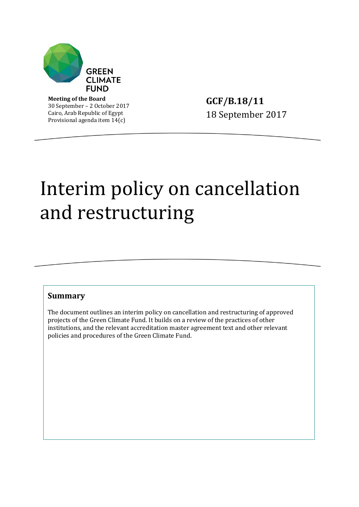

**Meeting of the Board** 30 September – 2 October 2017 Cairo, Arab Republic of Egypt Provisional agenda item 14(c)

**GCF/B.18/11** 18 September 2017

# Interim policy on cancellation and restructuring

#### **Summary**

The document outlines an interim policy on cancellation and restructuring of approved projects of the Green Climate Fund. It builds on a review of the practices of other institutions, and the relevant accreditation master agreement text and other relevant policies and procedures of the Green Climate Fund.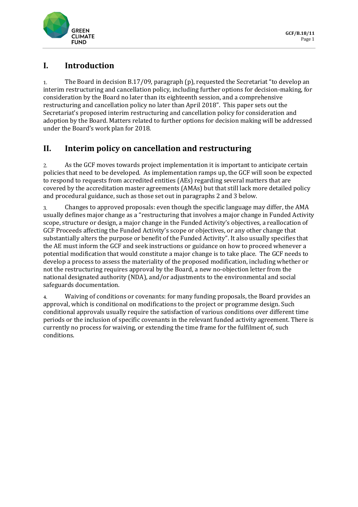

## **I. Introduction**

The Board in decision B.17/09, paragraph (p), requested the Secretariat "to develop an  $1.$ interim restructuring and cancellation policy, including further options for decision-making, for consideration by the Board no later than its eighteenth session, and a comprehensive restructuring and cancellation policy no later than April 2018". This paper sets out the Secretariat's proposed interim restructuring and cancellation policy for consideration and adoption by the Board. Matters related to further options for decision making will be addressed under the Board's work plan for 2018.

## **II. Interim policy on cancellation and restructuring**

As the GCF moves towards project implementation it is important to anticipate certain  $2.$ policies that need to be developed. As implementation ramps up, the GCF will soon be expected to respond to requests from accredited entities (AEs) regarding several matters that are covered by the accreditation master agreements (AMAs) but that still lack more detailed policy and procedural guidance, such as those set out in paragraphs 2 and 3 below.

Changes to approved proposals: even though the specific language may differ, the AMA  $3.$ usually defines major change as a "restructuring that involves a major change in Funded Activity scope, structure or design, a major change in the Funded Activity's objectives, a reallocation of GCF Proceeds affecting the Funded Activity's scope or objectives, or any other change that substantially alters the purpose or benefit of the Funded Activity". It also usually specifies that the AE must inform the GCF and seek instructions or guidance on how to proceed whenever a potential modification that would constitute a major change is to take place. The GCF needs to develop a process to assess the materiality of the proposed modification, including whether or not the restructuring requires approval by the Board, a new no-objection letter from the national designated authority (NDA), and/or adjustments to the environmental and social safeguards documentation.

Waiving of conditions or covenants: for many funding proposals, the Board provides an  $\boldsymbol{4}$ . approval, which is conditional on modifications to the project or programme design. Such conditional approvals usually require the satisfaction of various conditions over different time periods or the inclusion of specific covenants in the relevant funded activity agreement. There is currently no process for waiving, or extending the time frame for the fulfilment of, such conditions.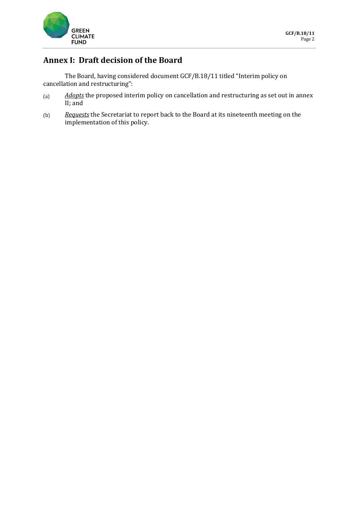

# **Annex I: Draft decision of the Board**

The Board, having considered document GCF/B.18/11 titled "Interim policy on cancellation and restructuring":

- *Adopts* the proposed interim policy on cancellation and restructuring as set out in annex  $(a)$ II; and
- *Requests* the Secretariat to report back to the Board at its nineteenth meeting on the  $(b)$ implementation of this policy.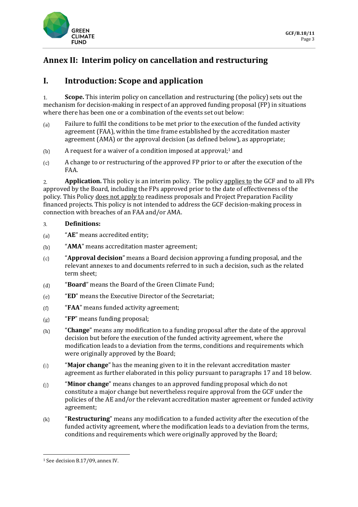

## **Annex II: Interim policy on cancellation and restructuring**

## **I. Introduction: Scope and application**

**Scope.** This interim policy on cancellation and restructuring (the policy) sets out the  $\overline{1}$ . mechanism for decision-making in respect of an approved funding proposal (FP) in situations where there has been one or a combination of the events set out below:

- Failure to fulfil the conditions to be met prior to the execution of the funded activity  $(a)$ agreement (FAA), within the time frame established by the accreditation master agreement (AMA) or the approval decision (as defined below), as appropriate;
- A request for a waiver of a condition imposed at approval;<sup>1</sup> and  $(b)$
- $(c)$ A change to or restructuring of the approved FP prior to or after the execution of the FAA.

**Application.** This policy is an interim policy. The policy applies to the GCF and to all FPs  $2<sub>1</sub>$ approved by the Board, including the FPs approved prior to the date of effectiveness of the policy. This Policy does not apply to readiness proposals and Project Preparation Facility financed projects. This policy is not intended to address the GCF decision-making process in connection with breaches of an FAA and/or AMA.

#### **Definitions:**  $3<sub>1</sub>$

- "**AE**" means accredited entity;  $(a)$
- $(b)$ "**AMA**" means accreditation master agreement;
- "**Approval decision**" means a Board decision approving a funding proposal, and the  $(c)$ relevant annexes to and documents referred to in such a decision, such as the related term sheet;
- "**Board**" means the Board of the Green Climate Fund;  $(d)$
- "**ED**" means the Executive Director of the Secretariat;  $(e)$
- $(f)$ "**FAA**" means funded activity agreement;
- "**FP**" means funding proposal;  $(g)$
- "**Change**" means any modification to a funding proposal after the date of the approval  $(h)$ decision but before the execution of the funded activity agreement, where the modification leads to a deviation from the terms, conditions and requirements which were originally approved by the Board;
- "**Major change**" has the meaning given to it in the relevant accreditation master  $(i)$ agreement as further elaborated in this policy pursuant to paragraphs 17 and 18 below.
- $(i)$ "**Minor change**" means changes to an approved funding proposal which do not constitute a major change but nevertheless require approval from the GCF under the policies of the AE and/or the relevant accreditation master agreement or funded activity agreement;
- "**Restructuring**" means any modification to a funded activity after the execution of the  $(k)$ funded activity agreement, where the modification leads to a deviation from the terms, conditions and requirements which were originally approved by the Board;

<sup>1</sup> <sup>1</sup> See decision B.17/09, annex IV.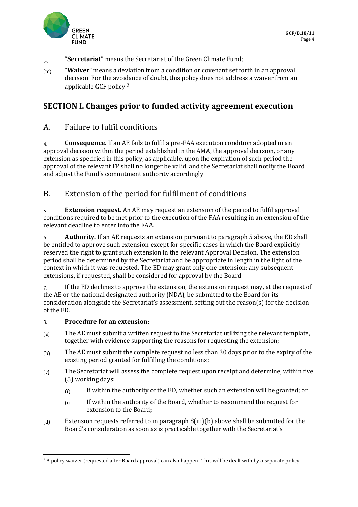

- "**Secretariat**" means the Secretariat of the Green Climate Fund;  $(1)$
- "**Waiver**" means a deviation from a condition or covenant set forth in an approval  $(m)$ decision. For the avoidance of doubt, this policy does not address a waiver from an applicable GCF policy.<sup>2</sup>

## **SECTION I. Changes prior to funded activity agreement execution**

## A. Failure to fulfil conditions

**Consequence.** If an AE fails to fulfil a pre-FAA execution condition adopted in an  $\overline{4}$ approval decision within the period established in the AMA, the approval decision, or any extension as specified in this policy, as applicable, upon the expiration of such period the approval of the relevant FP shall no longer be valid, and the Secretariat shall notify the Board and adjust the Fund's commitment authority accordingly.

## B. Extension of the period for fulfilment of conditions

5. **Extension request.** An AE may request an extension of the period to fulfil approval conditions required to be met prior to the execution of the FAA resulting in an extension of the relevant deadline to enter into the FAA.

**Authority.** If an AE requests an extension pursuant to paragraph 5 above, the ED shall 6. be entitled to approve such extension except for specific cases in which the Board explicitly reserved the right to grant such extension in the relevant Approval Decision. The extension period shall be determined by the Secretariat and be appropriate in length in the light of the context in which it was requested. The ED may grant only one extension; any subsequent extensions, if requested, shall be considered for approval by the Board.

 $7.$ If the ED declines to approve the extension, the extension request may, at the request of the AE or the national designated authority (NDA), be submitted to the Board for its consideration alongside the Secretariat's assessment, setting out the reason(s) for the decision of the ED.

#### $\overline{8}$ . **Procedure for an extension:**

- The AE must submit a written request to the Secretariat utilizing the relevant template,  $(a)$ together with evidence supporting the reasons for requesting the extension;
- The AE must submit the complete request no less than 30 days prior to the expiry of the  $(b)$ existing period granted for fulfilling the conditions;
- The Secretariat will assess the complete request upon receipt and determine, within five  $(c)$ (5) working days:
	- If within the authority of the ED, whether such an extension will be granted; or  $(i)$
	- If within the authority of the Board, whether to recommend the request for  $(ii)$ extension to the Board;
- $(d)$ Extension requests referred to in paragraph 8(iii)(b) above shall be submitted for the Board's consideration as soon as is practicable together with the Secretariat's

<sup>1</sup> <sup>2</sup> A policy waiver (requested after Board approval) can also happen. This will be dealt with by a separate policy.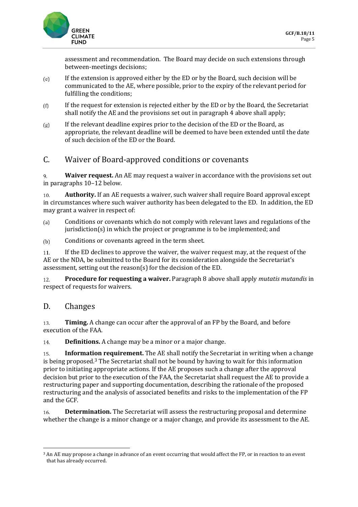

assessment and recommendation. The Board may decide on such extensions through between-meetings decisions;

- If the extension is approved either by the ED or by the Board, such decision will be  $(e)$ communicated to the AE, where possible, prior to the expiry of the relevant period for fulfilling the conditions;
- If the request for extension is rejected either by the ED or by the Board, the Secretariat  $(f)$ shall notify the AE and the provisions set out in paragraph 4 above shall apply;
- If the relevant deadline expires prior to the decision of the ED or the Board, as  $(g)$ appropriate, the relevant deadline will be deemed to have been extended until the date of such decision of the ED or the Board.

## C. Waiver of Board-approved conditions or covenants

9. **Waiver request.** An AE may request a waiver in accordance with the provisions set out in paragraphs 10–12 below.

**Authority.** If an AE requests a waiver, such waiver shall require Board approval except 10. in circumstances where such waiver authority has been delegated to the ED. In addition, the ED may grant a waiver in respect of:

- Conditions or covenants which do not comply with relevant laws and regulations of the  $(a)$ jurisdiction(s) in which the project or programme is to be implemented; and
- Conditions or covenants agreed in the term sheet.  $(b)$

If the ED declines to approve the waiver, the waiver request may, at the request of the 11. AE or the NDA, be submitted to the Board for its consideration alongside the Secretariat's assessment, setting out the reason(s) for the decision of the ED.

**Procedure for requesting a waiver.** Paragraph 8 above shall apply *mutatis mutandis* in 12. respect of requests for waivers.

#### D. Changes

13. **Timing.** A change can occur after the approval of an FP by the Board, and before execution of the FAA.

**Definitions.** A change may be a minor or a major change. 14.

**Information requirement.** The AE shall notify the Secretariat in writing when a change 15. is being proposed. $3$  The Secretariat shall not be bound by having to wait for this information prior to initiating appropriate actions. If the AE proposes such a change after the approval decision but prior to the execution of the FAA, the Secretariat shall request the AE to provide a restructuring paper and supporting documentation, describing the rationale of the proposed restructuring and the analysis of associated benefits and risks to the implementation of the FP and the GCF.

**Determination.** The Secretariat will assess the restructuring proposal and determine 16. whether the change is a minor change or a major change, and provide its assessment to the AE.

**<sup>.</sup>** <sup>3</sup> An AE may propose a change in advance of an event occurring that would affect the FP, or in reaction to an event that has already occurred.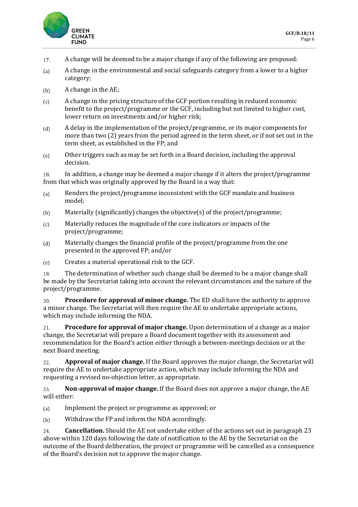

- A change will be deemed to be a major change if any of the following are proposed: 17.
- A change in the environmental and social safeguards category from a lower to a higher  $(a)$ category;
- A change in the AE;  $(b)$
- A change in the pricing structure of the GCF portion resulting in reduced economic  $(c)$ benefit to the project/programme or the GCF, including but not limited to higher cost, lower return on investments and/or higher risk;
- $(d)$ A delay in the implementation of the project/programme, or its major components for more than two (2) years from the period agreed in the term sheet, or if not set out in the term sheet, as established in the FP; and
- Other triggers such as may be set forth in a Board decision, including the approval  $(e)$ decision.

In addition, a change may be deemed a major change if it alters the project/programme 18. from that which was originally approved by the Board in a way that:

- Renders the project/programme inconsistent with the GCF mandate and business  $(a)$ model;
- Materially (significantly) changes the objective(s) of the project/programme;  $(b)$
- Materially reduces the magnitude of the core indicators or impacts of the  $(c)$ project/programme;
- $(d)$ Materially changes the financial profile of the project/programme from the one presented in the approved FP; and/or
- Creates a material operational risk to the GCF.  $(e)$

The determination of whether such change shall be deemed to be a major change shall 19. be made by the Secretariat taking into account the relevant circumstances and the nature of the project/programme.

 $20.$ **Procedure for approval of minor change.** The ED shall have the authority to approve a minor change. The Secretariat will then require the AE to undertake appropriate actions, which may include informing the NDA.

**Procedure for approval of major change.** Upon determination of a change as a major  $21.$ change, the Secretariat will prepare a Board document together with its assessment and recommendation for the Board's action either through a between-meetings decision or at the next Board meeting.

22. **Approval of major change.** If the Board approves the major change, the Secretariat will require the AE to undertake appropriate action, which may include informing the NDA and requesting a revised no-objection letter, as appropriate.

23. **Non-approval of major change.** If the Board does not approve a major change, the AE will either:

- Implement the project or programme as approved; or  $(a)$
- Withdraw the FP and inform the NDA accordingly.  $(b)$

**Cancellation.** Should the AE not undertake either of the actions set out in paragraph 23 24. above within 120 days following the date of notification to the AE by the Secretariat on the outcome of the Board deliberation, the project or programme will be cancelled as a consequence of the Board's decision not to approve the major change.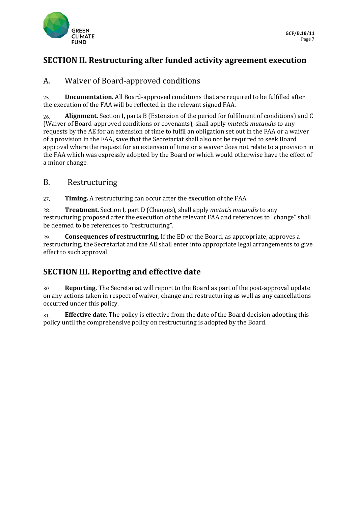

## **SECTION II. Restructuring after funded activity agreement execution**

## A. Waiver of Board-approved conditions

 $25.$ **Documentation.** All Board-approved conditions that are required to be fulfilled after the execution of the FAA will be reflected in the relevant signed FAA.

**Alignment.** Section I, parts B (Extension of the period for fulfilment of conditions) and C 26. (Waiver of Board-approved conditions or covenants), shall apply *mutatis mutandis* to any requests by the AE for an extension of time to fulfil an obligation set out in the FAA or a waiver of a provision in the FAA, save that the Secretariat shall also not be required to seek Board approval where the request for an extension of time or a waiver does not relate to a provision in the FAA which was expressly adopted by the Board or which would otherwise have the effect of a minor change.

#### B. Restructuring

**Timing.** A restructuring can occur after the execution of the FAA.  $27.$ 

**Treatment.** Section I, part D (Changes), shall apply *mutatis mutandis* to any 28. restructuring proposed after the execution of the relevant FAA and references to "change" shall be deemed to be references to "restructuring".

**Consequences of restructuring.** If the ED or the Board, as appropriate, approves a 29. restructuring, the Secretariat and the AE shall enter into appropriate legal arrangements to give effect to such approval.

## **SECTION III. Reporting and effective date**

 $30.$ **Reporting.** The Secretariat will report to the Board as part of the post-approval update on any actions taken in respect of waiver, change and restructuring as well as any cancellations occurred under this policy.

**Effective date**. The policy is effective from the date of the Board decision adopting this 31. policy until the comprehensive policy on restructuring is adopted by the Board.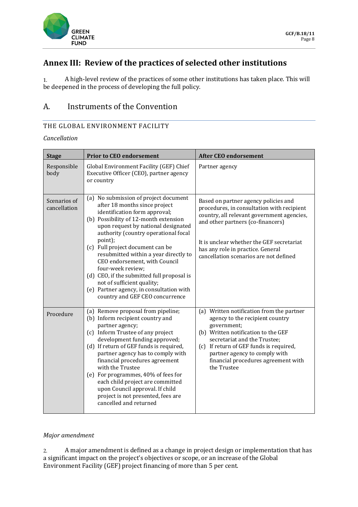

## **Annex III: Review of the practices of selected other institutions**

A high-level review of the practices of some other institutions has taken place. This will  $1.$ be deepened in the process of developing the full policy.

## A. Instruments of the Convention

#### THE GLOBAL ENVIRONMENT FACILITY

*Cancellation*

| <b>Stage</b>                 | <b>Prior to CEO endorsement</b>                                                                                                                                                                                                                                                                                                                                                                                                                                                                                                          | <b>After CEO endorsement</b>                                                                                                                                                                                                                                                                         |
|------------------------------|------------------------------------------------------------------------------------------------------------------------------------------------------------------------------------------------------------------------------------------------------------------------------------------------------------------------------------------------------------------------------------------------------------------------------------------------------------------------------------------------------------------------------------------|------------------------------------------------------------------------------------------------------------------------------------------------------------------------------------------------------------------------------------------------------------------------------------------------------|
| Responsible<br>body          | Global Environment Facility (GEF) Chief<br>Executive Officer (CEO), partner agency<br>or country                                                                                                                                                                                                                                                                                                                                                                                                                                         | Partner agency                                                                                                                                                                                                                                                                                       |
| Scenarios of<br>cancellation | (a) No submission of project document<br>after 18 months since project<br>identification form approval;<br>(b) Possibility of 12-month extension<br>upon request by national designated<br>authority (country operational focal<br>point);<br>(c) Full project document can be<br>resubmitted within a year directly to<br>CEO endorsement, with Council<br>four-week review;<br>(d) CEO, if the submitted full proposal is<br>not of sufficient quality;<br>(e) Partner agency, in consultation with<br>country and GEF CEO concurrence | Based on partner agency policies and<br>procedures, in consultation with recipient<br>country, all relevant government agencies,<br>and other partners (co-financers)<br>It is unclear whether the GEF secretariat<br>has any role in practice. General<br>cancellation scenarios are not defined    |
| Procedure                    | (a) Remove proposal from pipeline;<br>(b) Inform recipient country and<br>partner agency;<br>(c) Inform Trustee of any project<br>development funding approved;<br>(d) If return of GEF funds is required,<br>partner agency has to comply with<br>financial procedures agreement<br>with the Trustee<br>(e) For programmes, 40% of fees for<br>each child project are committed<br>upon Council approval. If child<br>project is not presented, fees are<br>cancelled and returned                                                      | (a) Written notification from the partner<br>agency to the recipient country<br>government;<br>(b) Written notification to the GEF<br>secretariat and the Trustee;<br>(c) If return of GEF funds is required,<br>partner agency to comply with<br>financial procedures agreement with<br>the Trustee |

#### *Major amendment*

A major amendment is defined as a change in project design or implementation that has  $2.$ a significant impact on the project's objectives or scope, or an increase of the Global Environment Facility (GEF) project financing of more than 5 per cent.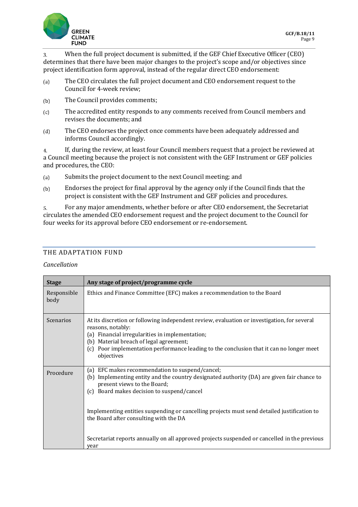

When the full project document is submitted, if the GEF Chief Executive Officer (CEO) 3. determines that there have been major changes to the project's scope and/or objectives since project identification form approval, instead of the regular direct CEO endorsement:

- The CEO circulates the full project document and CEO endorsement request to the  $(a)$ Council for 4-week review;
- The Council provides comments;  $(b)$
- The accredited entity responds to any comments received from Council members and  $(c)$ revises the documents; and
- The CEO endorses the project once comments have been adequately addressed and  $(d)$ informs Council accordingly.

If, during the review, at least four Council members request that a project be reviewed at  $4<sub>1</sub>$ a Council meeting because the project is not consistent with the GEF Instrument or GEF policies and procedures, the CEO:

- Submits the project document to the next Council meeting; and  $(a)$
- Endorses the project for final approval by the agency only if the Council finds that the  $(b)$ project is consistent with the GEF Instrument and GEF policies and procedures.

For any major amendments, whether before or after CEO endorsement, the Secretariat 5. circulates the amended CEO endorsement request and the project document to the Council for four weeks for its approval before CEO endorsement or re-endorsement.

#### THE ADAPTATION FUND

#### *Cancellation*

| <b>Stage</b>        | Any stage of project/programme cycle                                                                                                                                                                                                                                                                                                                                   |  |
|---------------------|------------------------------------------------------------------------------------------------------------------------------------------------------------------------------------------------------------------------------------------------------------------------------------------------------------------------------------------------------------------------|--|
| Responsible<br>body | Ethics and Finance Committee (EFC) makes a recommendation to the Board                                                                                                                                                                                                                                                                                                 |  |
| <b>Scenarios</b>    | At its discretion or following independent review, evaluation or investigation, for several<br>reasons, notably:<br>(a) Financial irregularities in implementation;<br>(b) Material breach of legal agreement;<br>Poor implementation performance leading to the conclusion that it can no longer meet<br>(c)<br>objectives                                            |  |
| Procedure           | EFC makes recommendation to suspend/cancel;<br>(a)<br>(b) Implementing entity and the country designated authority (DA) are given fair chance to<br>present views to the Board;<br>(c) Board makes decision to suspend/cancel<br>Implementing entities suspending or cancelling projects must send detailed justification to<br>the Board after consulting with the DA |  |
|                     | Secretariat reports annually on all approved projects suspended or cancelled in the previous<br>vear                                                                                                                                                                                                                                                                   |  |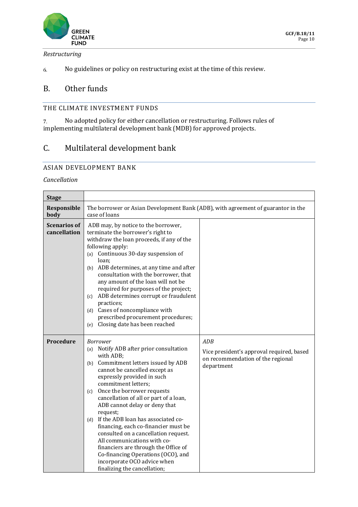

#### *Restructuring*

No guidelines or policy on restructuring exist at the time of this review. 6.

## B. Other funds

#### THE CLIMATE INVESTMENT FUNDS

 $7.$ No adopted policy for either cancellation or restructuring. Follows rules of implementing multilateral development bank (MDB) for approved projects.

## C. Multilateral development bank

#### ASIAN DEVELOPMENT BANK

#### *Cancellation*

| <b>Stage</b>                        |                                                                                                                                                                                                                                                                                                                                                                                                                                                                                                                                                                                                                                            |                                                                                                     |  |
|-------------------------------------|--------------------------------------------------------------------------------------------------------------------------------------------------------------------------------------------------------------------------------------------------------------------------------------------------------------------------------------------------------------------------------------------------------------------------------------------------------------------------------------------------------------------------------------------------------------------------------------------------------------------------------------------|-----------------------------------------------------------------------------------------------------|--|
| <b>Responsible</b><br>body          | The borrower or Asian Development Bank (ADB), with agreement of guarantor in the<br>case of loans                                                                                                                                                                                                                                                                                                                                                                                                                                                                                                                                          |                                                                                                     |  |
| <b>Scenarios of</b><br>cancellation | ADB may, by notice to the borrower,<br>terminate the borrower's right to<br>withdraw the loan proceeds, if any of the<br>following apply:<br>(a) Continuous 30-day suspension of<br>loan;<br>(b) ADB determines, at any time and after<br>consultation with the borrower, that<br>any amount of the loan will not be<br>required for purposes of the project;<br>ADB determines corrupt or fraudulent<br>(c)<br>practices;<br>(d) Cases of noncompliance with<br>prescribed procurement procedures;<br>Closing date has been reached<br>(e)                                                                                                |                                                                                                     |  |
| <b>Procedure</b>                    | <b>Borrower</b><br>Notify ADB after prior consultation<br>(a)<br>with ADB;<br>(b) Commitment letters issued by ADB<br>cannot be cancelled except as<br>expressly provided in such<br>commitment letters;<br>Once the borrower requests<br>(c)<br>cancellation of all or part of a loan,<br>ADB cannot delay or deny that<br>request;<br>(d) If the ADB loan has associated co-<br>financing, each co-financier must be<br>consulted on a cancellation request.<br>All communications with co-<br>financiers are through the Office of<br>Co-financing Operations (OCO), and<br>incorporate OCO advice when<br>finalizing the cancellation; | ADB<br>Vice president's approval required, based<br>on recommendation of the regional<br>department |  |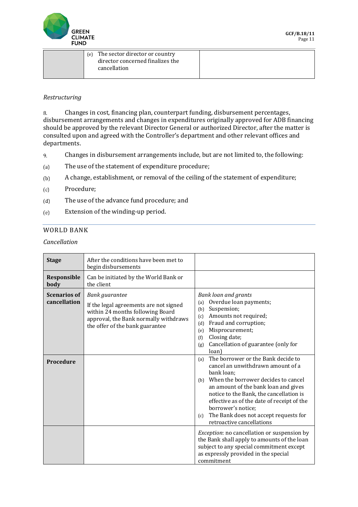

| (e) | The sector director or country   |  |
|-----|----------------------------------|--|
|     | director concerned finalizes the |  |
|     | cancellation                     |  |
|     |                                  |  |

#### *Restructuring*

Changes in cost, financing plan, counterpart funding, disbursement percentages, 8. disbursement arrangements and changes in expenditures originally approved for ADB financing should be approved by the relevant Director General or authorized Director, after the matter is consulted upon and agreed with the Controller's department and other relevant offices and departments.

- 9. Changes in disbursement arrangements include, but are not limited to, the following:
- The use of the statement of expenditure procedure;  $(a)$
- A change, establishment, or removal of the ceiling of the statement of expenditure;  $(b)$
- Procedure;  $(c)$
- $(d)$ The use of the advance fund procedure; and
- Extension of the winding-up period.  $(e)$

#### WORLD BANK

*Cancellation*

| <b>Stage</b>                        | After the conditions have been met to<br>begin disbursements                                                                                                             |                                                                                                                                                                                                                                                                                                                                                                                |
|-------------------------------------|--------------------------------------------------------------------------------------------------------------------------------------------------------------------------|--------------------------------------------------------------------------------------------------------------------------------------------------------------------------------------------------------------------------------------------------------------------------------------------------------------------------------------------------------------------------------|
| Responsible<br>body                 | Can be initiated by the World Bank or<br>the client                                                                                                                      |                                                                                                                                                                                                                                                                                                                                                                                |
| <b>Scenarios of</b><br>cancellation | Bank guarantee<br>If the legal agreements are not signed<br>within 24 months following Board<br>approval, the Bank normally withdraws<br>the offer of the bank guarantee | <b>Bank loan and grants</b><br>Overdue loan payments;<br>(a)<br>Suspension;<br>(b)<br>Amounts not required;<br>(c)<br>Fraud and corruption;<br>(d)<br>Misprocurement;<br>(e)<br>Closing date;<br>(f)<br>Cancellation of guarantee (only for<br>(g)<br>loan)                                                                                                                    |
| <b>Procedure</b>                    |                                                                                                                                                                          | The borrower or the Bank decide to<br>(a)<br>cancel an unwithdrawn amount of a<br>bank loan:<br>When the borrower decides to cancel<br>(b)<br>an amount of the bank loan and gives<br>notice to the Bank, the cancellation is<br>effective as of the date of receipt of the<br>borrower's notice;<br>The Bank does not accept requests for<br>(c)<br>retroactive cancellations |
|                                     |                                                                                                                                                                          | Exception: no cancellation or suspension by<br>the Bank shall apply to amounts of the loan<br>subject to any special commitment except<br>as expressly provided in the special<br>commitment                                                                                                                                                                                   |